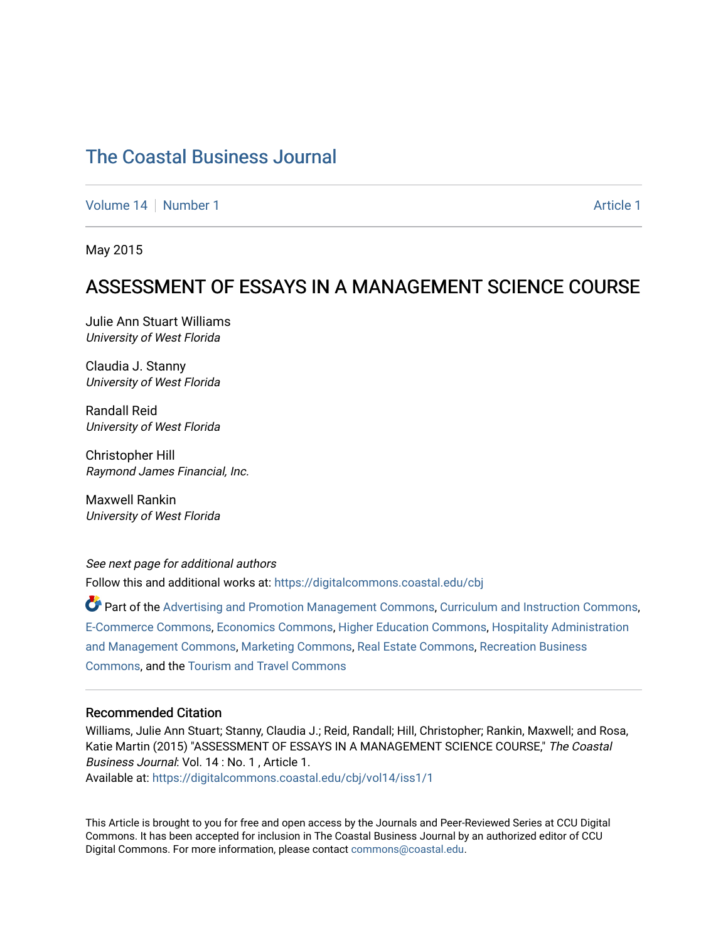[Volume 14](https://digitalcommons.coastal.edu/cbj/vol14) | [Number 1](https://digitalcommons.coastal.edu/cbj/vol14/iss1) [Article 1](https://digitalcommons.coastal.edu/cbj/vol14/iss1/1) Article 1 Article 1 Article 1 Article 1 Article 1

May 2015

### ASSESSMENT OF ESSAYS IN A MANAGEMENT SCIENCE COURSE

Julie Ann Stuart Williams University of West Florida

Claudia J. Stanny University of West Florida

Randall Reid University of West Florida

Christopher Hill Raymond James Financial, Inc.

Maxwell Rankin University of West Florida

See next page for additional authors

Follow this and additional works at: [https://digitalcommons.coastal.edu/cbj](https://digitalcommons.coastal.edu/cbj?utm_source=digitalcommons.coastal.edu%2Fcbj%2Fvol14%2Fiss1%2F1&utm_medium=PDF&utm_campaign=PDFCoverPages) 

Part of the [Advertising and Promotion Management Commons,](http://network.bepress.com/hgg/discipline/626?utm_source=digitalcommons.coastal.edu%2Fcbj%2Fvol14%2Fiss1%2F1&utm_medium=PDF&utm_campaign=PDFCoverPages) [Curriculum and Instruction Commons,](http://network.bepress.com/hgg/discipline/786?utm_source=digitalcommons.coastal.edu%2Fcbj%2Fvol14%2Fiss1%2F1&utm_medium=PDF&utm_campaign=PDFCoverPages) [E-Commerce Commons,](http://network.bepress.com/hgg/discipline/624?utm_source=digitalcommons.coastal.edu%2Fcbj%2Fvol14%2Fiss1%2F1&utm_medium=PDF&utm_campaign=PDFCoverPages) [Economics Commons](http://network.bepress.com/hgg/discipline/340?utm_source=digitalcommons.coastal.edu%2Fcbj%2Fvol14%2Fiss1%2F1&utm_medium=PDF&utm_campaign=PDFCoverPages), [Higher Education Commons](http://network.bepress.com/hgg/discipline/1245?utm_source=digitalcommons.coastal.edu%2Fcbj%2Fvol14%2Fiss1%2F1&utm_medium=PDF&utm_campaign=PDFCoverPages), [Hospitality Administration](http://network.bepress.com/hgg/discipline/632?utm_source=digitalcommons.coastal.edu%2Fcbj%2Fvol14%2Fiss1%2F1&utm_medium=PDF&utm_campaign=PDFCoverPages) [and Management Commons,](http://network.bepress.com/hgg/discipline/632?utm_source=digitalcommons.coastal.edu%2Fcbj%2Fvol14%2Fiss1%2F1&utm_medium=PDF&utm_campaign=PDFCoverPages) [Marketing Commons](http://network.bepress.com/hgg/discipline/638?utm_source=digitalcommons.coastal.edu%2Fcbj%2Fvol14%2Fiss1%2F1&utm_medium=PDF&utm_campaign=PDFCoverPages), [Real Estate Commons](http://network.bepress.com/hgg/discipline/641?utm_source=digitalcommons.coastal.edu%2Fcbj%2Fvol14%2Fiss1%2F1&utm_medium=PDF&utm_campaign=PDFCoverPages), [Recreation Business](http://network.bepress.com/hgg/discipline/1083?utm_source=digitalcommons.coastal.edu%2Fcbj%2Fvol14%2Fiss1%2F1&utm_medium=PDF&utm_campaign=PDFCoverPages) [Commons](http://network.bepress.com/hgg/discipline/1083?utm_source=digitalcommons.coastal.edu%2Fcbj%2Fvol14%2Fiss1%2F1&utm_medium=PDF&utm_campaign=PDFCoverPages), and the [Tourism and Travel Commons](http://network.bepress.com/hgg/discipline/1082?utm_source=digitalcommons.coastal.edu%2Fcbj%2Fvol14%2Fiss1%2F1&utm_medium=PDF&utm_campaign=PDFCoverPages)

#### Recommended Citation

Williams, Julie Ann Stuart; Stanny, Claudia J.; Reid, Randall; Hill, Christopher; Rankin, Maxwell; and Rosa, Katie Martin (2015) "ASSESSMENT OF ESSAYS IN A MANAGEMENT SCIENCE COURSE," The Coastal Business Journal: Vol. 14 : No. 1 , Article 1. Available at: [https://digitalcommons.coastal.edu/cbj/vol14/iss1/1](https://digitalcommons.coastal.edu/cbj/vol14/iss1/1?utm_source=digitalcommons.coastal.edu%2Fcbj%2Fvol14%2Fiss1%2F1&utm_medium=PDF&utm_campaign=PDFCoverPages) 

This Article is brought to you for free and open access by the Journals and Peer-Reviewed Series at CCU Digital Commons. It has been accepted for inclusion in The Coastal Business Journal by an authorized editor of CCU Digital Commons. For more information, please contact [commons@coastal.edu](mailto:commons@coastal.edu).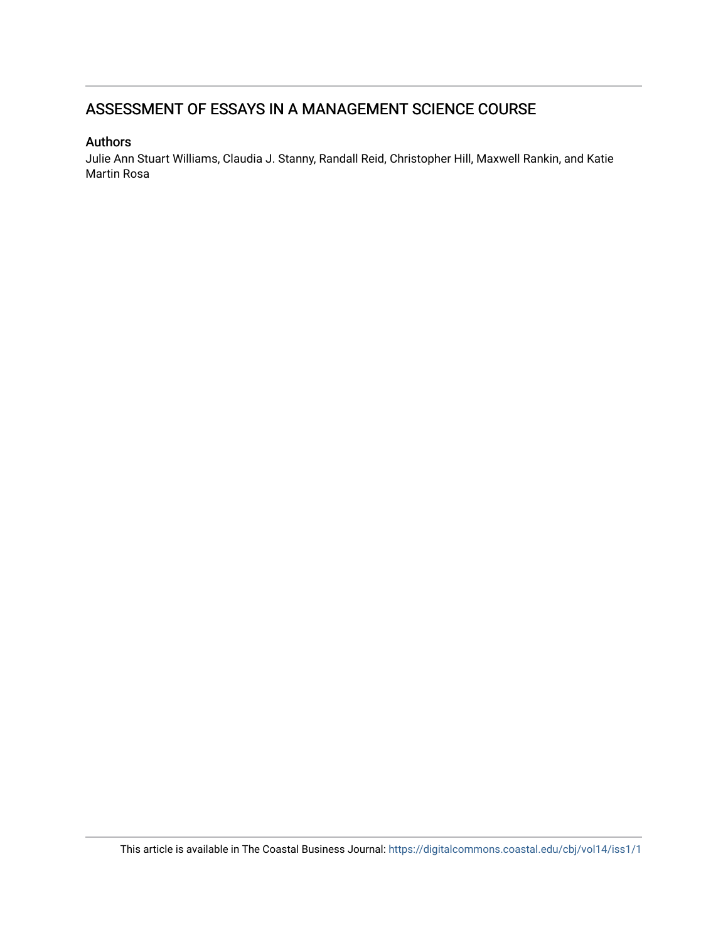### ASSESSMENT OF ESSAYS IN A MANAGEMENT SCIENCE COURSE

### Authors

Julie Ann Stuart Williams, Claudia J. Stanny, Randall Reid, Christopher Hill, Maxwell Rankin, and Katie Martin Rosa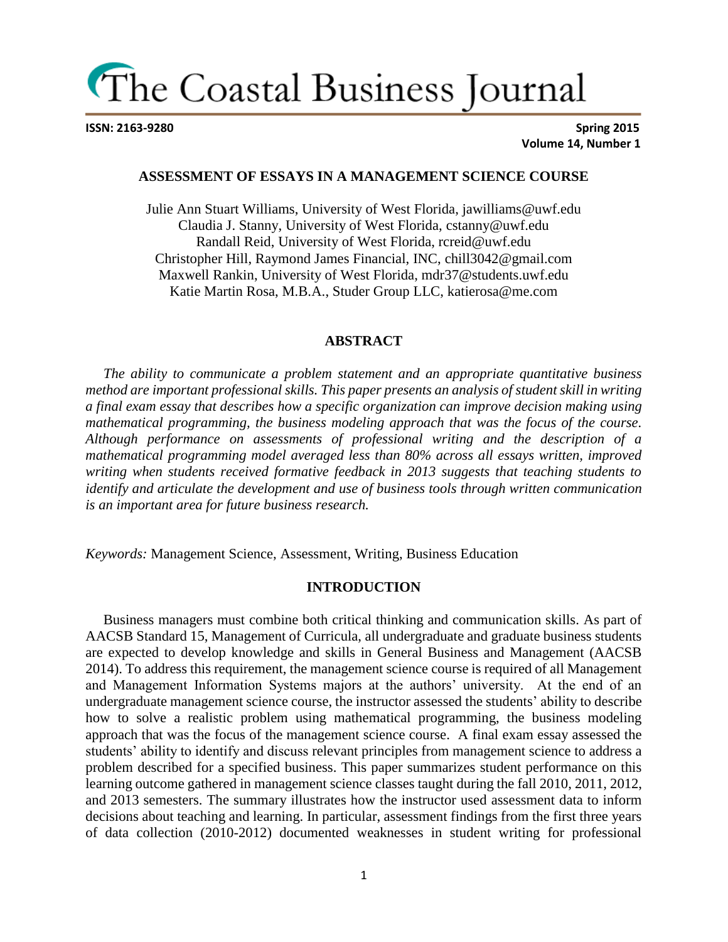**ISSN: 2163-9280 Spring 2015 Volume 14, Number 1**

### **ASSESSMENT OF ESSAYS IN A MANAGEMENT SCIENCE COURSE**

Julie Ann Stuart Williams, University of West Florida, jawilliams@uwf.edu Claudia J. Stanny, University of West Florida, cstanny@uwf.edu Randall Reid, University of West Florida, rcreid@uwf.edu Christopher Hill, Raymond James Financial, INC, chill3042@gmail.com Maxwell Rankin, University of West Florida, mdr37@students.uwf.edu Katie Martin Rosa, M.B.A., Studer Group LLC, katierosa@me.com

#### **ABSTRACT**

 *The ability to communicate a problem statement and an appropriate quantitative business method are important professional skills. This paper presents an analysis of student skill in writing a final exam essay that describes how a specific organization can improve decision making using mathematical programming, the business modeling approach that was the focus of the course. Although performance on assessments of professional writing and the description of a mathematical programming model averaged less than 80% across all essays written, improved writing when students received formative feedback in 2013 suggests that teaching students to identify and articulate the development and use of business tools through written communication is an important area for future business research.* 

*Keywords:* Management Science, Assessment, Writing, Business Education

#### **INTRODUCTION**

 Business managers must combine both critical thinking and communication skills. As part of AACSB Standard 15, Management of Curricula, all undergraduate and graduate business students are expected to develop knowledge and skills in General Business and Management (AACSB 2014). To address this requirement, the management science course is required of all Management and Management Information Systems majors at the authors' university. At the end of an undergraduate management science course, the instructor assessed the students' ability to describe how to solve a realistic problem using mathematical programming, the business modeling approach that was the focus of the management science course. A final exam essay assessed the students' ability to identify and discuss relevant principles from management science to address a problem described for a specified business. This paper summarizes student performance on this learning outcome gathered in management science classes taught during the fall 2010, 2011, 2012, and 2013 semesters. The summary illustrates how the instructor used assessment data to inform decisions about teaching and learning. In particular, assessment findings from the first three years of data collection (2010-2012) documented weaknesses in student writing for professional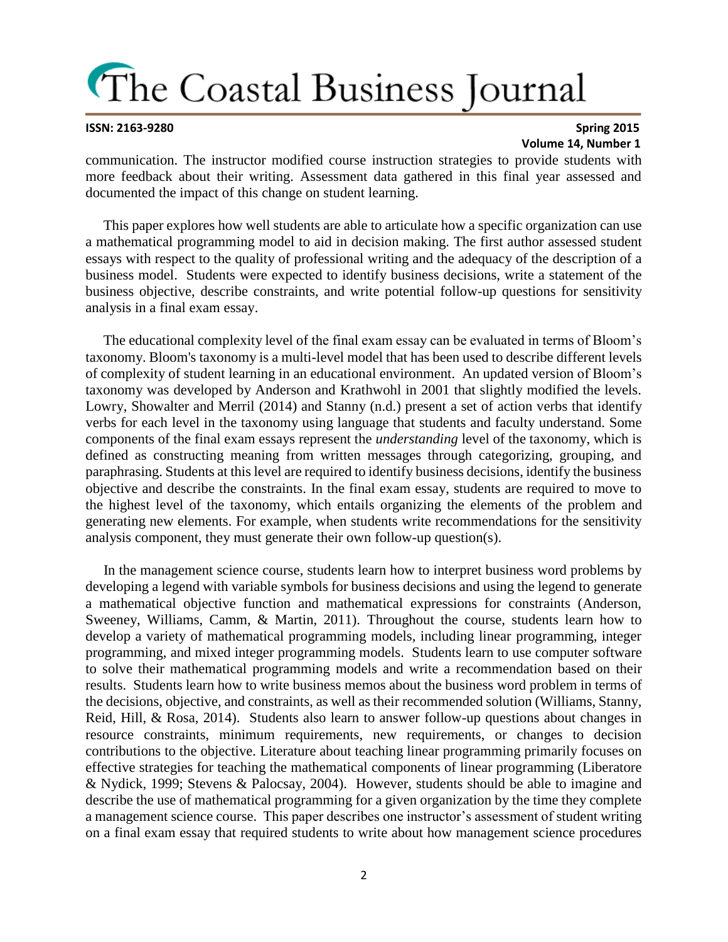#### **ISSN: 2163-9280 Spring 2015 Volume 14, Number 1**

communication. The instructor modified course instruction strategies to provide students with more feedback about their writing. Assessment data gathered in this final year assessed and documented the impact of this change on student learning.

 This paper explores how well students are able to articulate how a specific organization can use a mathematical programming model to aid in decision making. The first author assessed student essays with respect to the quality of professional writing and the adequacy of the description of a business model. Students were expected to identify business decisions, write a statement of the business objective, describe constraints, and write potential follow-up questions for sensitivity analysis in a final exam essay.

 The educational complexity level of the final exam essay can be evaluated in terms of Bloom's taxonomy. Bloom's taxonomy is a multi-level model that has been used to describe different levels of complexity of student learning in an educational environment. An updated version of Bloom's taxonomy was developed by Anderson and Krathwohl in 2001 that slightly modified the levels. Lowry, Showalter and Merril (2014) and Stanny (n.d.) present a set of action verbs that identify verbs for each level in the taxonomy using language that students and faculty understand. Some components of the final exam essays represent the *understanding* level of the taxonomy, which is defined as constructing meaning from written messages through categorizing, grouping, and paraphrasing. Students at this level are required to identify business decisions, identify the business objective and describe the constraints. In the final exam essay, students are required to move to the highest level of the taxonomy, which entails organizing the elements of the problem and generating new elements. For example, when students write recommendations for the sensitivity analysis component, they must generate their own follow-up question(s).

 In the management science course, students learn how to interpret business word problems by developing a legend with variable symbols for business decisions and using the legend to generate a mathematical objective function and mathematical expressions for constraints (Anderson, Sweeney, Williams, Camm, & Martin, 2011). Throughout the course, students learn how to develop a variety of mathematical programming models, including linear programming, integer programming, and mixed integer programming models. Students learn to use computer software to solve their mathematical programming models and write a recommendation based on their results. Students learn how to write business memos about the business word problem in terms of the decisions, objective, and constraints, as well as their recommended solution (Williams, Stanny, Reid, Hill, & Rosa, 2014). Students also learn to answer follow-up questions about changes in resource constraints, minimum requirements, new requirements, or changes to decision contributions to the objective. Literature about teaching linear programming primarily focuses on effective strategies for teaching the mathematical components of linear programming (Liberatore & Nydick, 1999; Stevens & Palocsay, 2004). However, students should be able to imagine and describe the use of mathematical programming for a given organization by the time they complete a management science course. This paper describes one instructor's assessment of student writing on a final exam essay that required students to write about how management science procedures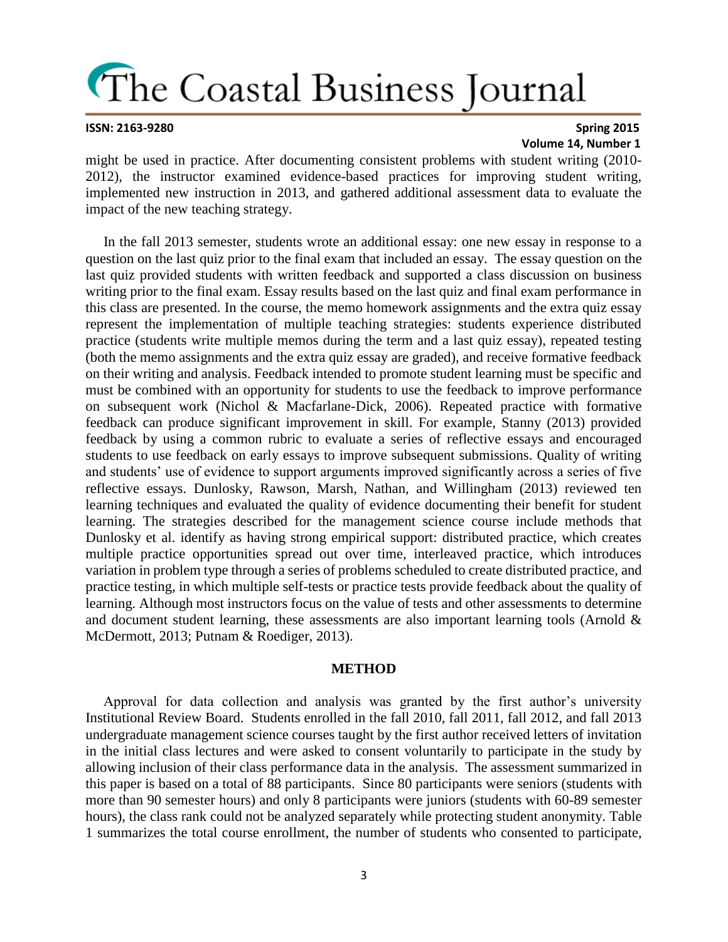#### **ISSN: 2163-9280 Spring 2015 Volume 14, Number 1**

might be used in practice. After documenting consistent problems with student writing (2010- 2012), the instructor examined evidence-based practices for improving student writing, implemented new instruction in 2013, and gathered additional assessment data to evaluate the impact of the new teaching strategy.

 In the fall 2013 semester, students wrote an additional essay: one new essay in response to a question on the last quiz prior to the final exam that included an essay. The essay question on the last quiz provided students with written feedback and supported a class discussion on business writing prior to the final exam. Essay results based on the last quiz and final exam performance in this class are presented. In the course, the memo homework assignments and the extra quiz essay represent the implementation of multiple teaching strategies: students experience distributed practice (students write multiple memos during the term and a last quiz essay), repeated testing (both the memo assignments and the extra quiz essay are graded), and receive formative feedback on their writing and analysis. Feedback intended to promote student learning must be specific and must be combined with an opportunity for students to use the feedback to improve performance on subsequent work (Nichol & Macfarlane-Dick, 2006). Repeated practice with formative feedback can produce significant improvement in skill. For example, Stanny (2013) provided feedback by using a common rubric to evaluate a series of reflective essays and encouraged students to use feedback on early essays to improve subsequent submissions. Quality of writing and students' use of evidence to support arguments improved significantly across a series of five reflective essays. Dunlosky, Rawson, Marsh, Nathan, and Willingham (2013) reviewed ten learning techniques and evaluated the quality of evidence documenting their benefit for student learning. The strategies described for the management science course include methods that Dunlosky et al. identify as having strong empirical support: distributed practice, which creates multiple practice opportunities spread out over time, interleaved practice, which introduces variation in problem type through a series of problems scheduled to create distributed practice, and practice testing, in which multiple self-tests or practice tests provide feedback about the quality of learning. Although most instructors focus on the value of tests and other assessments to determine and document student learning, these assessments are also important learning tools (Arnold  $\&$ McDermott, 2013; Putnam & Roediger, 2013).

### **METHOD**

 Approval for data collection and analysis was granted by the first author's university Institutional Review Board. Students enrolled in the fall 2010, fall 2011, fall 2012, and fall 2013 undergraduate management science courses taught by the first author received letters of invitation in the initial class lectures and were asked to consent voluntarily to participate in the study by allowing inclusion of their class performance data in the analysis. The assessment summarized in this paper is based on a total of 88 participants. Since 80 participants were seniors (students with more than 90 semester hours) and only 8 participants were juniors (students with 60-89 semester hours), the class rank could not be analyzed separately while protecting student anonymity. Table 1 summarizes the total course enrollment, the number of students who consented to participate,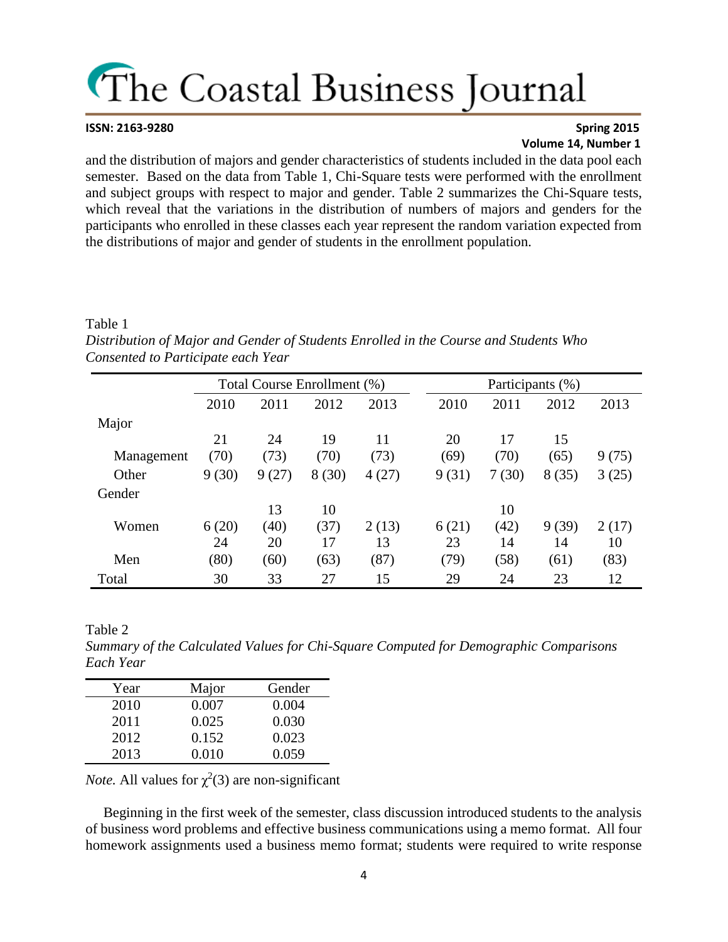#### **ISSN: 2163-9280 Spring 2015 Volume 14, Number 1**

and the distribution of majors and gender characteristics of students included in the data pool each semester. Based on the data from Table 1, Chi-Square tests were performed with the enrollment and subject groups with respect to major and gender. Table 2 summarizes the Chi-Square tests, which reveal that the variations in the distribution of numbers of majors and genders for the participants who enrolled in these classes each year represent the random variation expected from the distributions of major and gender of students in the enrollment population.

#### Table 1

*Distribution of Major and Gender of Students Enrolled in the Course and Students Who Consented to Participate each Year*

|            |       | Total Course Enrollment (%) |       |       |       |       | Participants (%) |       |
|------------|-------|-----------------------------|-------|-------|-------|-------|------------------|-------|
|            | 2010  | 2011                        | 2012  | 2013  | 2010  | 2011  | 2012             | 2013  |
| Major      |       |                             |       |       |       |       |                  |       |
|            | 21    | 24                          | 19    | 11    | 20    | 17    | 15               |       |
| Management | (70)  | (73)                        | (70)  | (73)  | (69)  | (70)  | (65)             | 9(75) |
| Other      | 9(30) | 9(27)                       | 8(30) | 4(27) | 9(31) | 7(30) | 8(35)            | 3(25) |
| Gender     |       |                             |       |       |       |       |                  |       |
|            |       | 13                          | 10    |       |       | 10    |                  |       |
| Women      | 6(20) | (40)                        | (37)  | 2(13) | 6(21) | (42)  | 9(39)            | 2(17) |
|            | 24    | 20                          | 17    | 13    | 23    | 14    | 14               | 10    |
| Men        | (80)  | (60)                        | (63)  | (87)  | (79)  | (58)  | (61)             | (83)  |
| Total      | 30    | 33                          | 27    | 15    | 29    | 24    | 23               | 12    |

Table 2

*Summary of the Calculated Values for Chi-Square Computed for Demographic Comparisons Each Year*

| Year | Major | Gender |
|------|-------|--------|
| 2010 | 0.007 | 0.004  |
| 2011 | 0.025 | 0.030  |
| 2012 | 0.152 | 0.023  |
| 2013 | 0.010 | 0.059  |

*Note.* All values for  $\chi^2(3)$  are non-significant

 Beginning in the first week of the semester, class discussion introduced students to the analysis of business word problems and effective business communications using a memo format. All four homework assignments used a business memo format; students were required to write response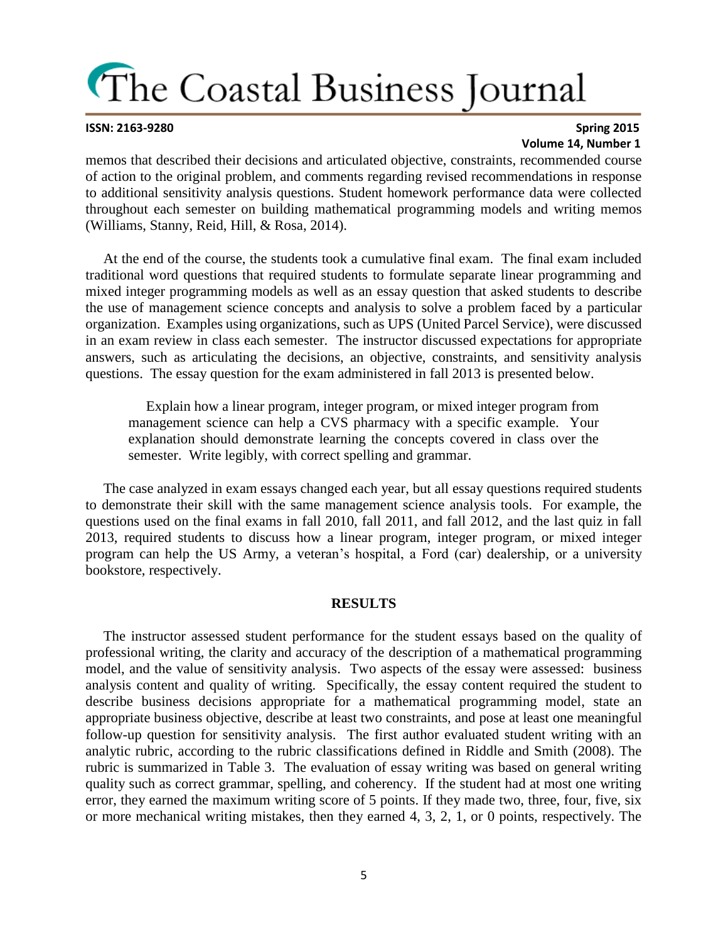### **ISSN: 2163-9280 Spring 2015 Volume 14, Number 1**

memos that described their decisions and articulated objective, constraints, recommended course of action to the original problem, and comments regarding revised recommendations in response to additional sensitivity analysis questions. Student homework performance data were collected throughout each semester on building mathematical programming models and writing memos (Williams, Stanny, Reid, Hill, & Rosa, 2014).

 At the end of the course, the students took a cumulative final exam. The final exam included traditional word questions that required students to formulate separate linear programming and mixed integer programming models as well as an essay question that asked students to describe the use of management science concepts and analysis to solve a problem faced by a particular organization. Examples using organizations, such as UPS (United Parcel Service), were discussed in an exam review in class each semester. The instructor discussed expectations for appropriate answers, such as articulating the decisions, an objective, constraints, and sensitivity analysis questions. The essay question for the exam administered in fall 2013 is presented below.

 Explain how a linear program, integer program, or mixed integer program from management science can help a CVS pharmacy with a specific example. Your explanation should demonstrate learning the concepts covered in class over the semester. Write legibly, with correct spelling and grammar.

 The case analyzed in exam essays changed each year, but all essay questions required students to demonstrate their skill with the same management science analysis tools. For example, the questions used on the final exams in fall 2010, fall 2011, and fall 2012, and the last quiz in fall 2013, required students to discuss how a linear program, integer program, or mixed integer program can help the US Army, a veteran's hospital, a Ford (car) dealership, or a university bookstore, respectively.

### **RESULTS**

 The instructor assessed student performance for the student essays based on the quality of professional writing, the clarity and accuracy of the description of a mathematical programming model, and the value of sensitivity analysis. Two aspects of the essay were assessed: business analysis content and quality of writing. Specifically, the essay content required the student to describe business decisions appropriate for a mathematical programming model, state an appropriate business objective, describe at least two constraints, and pose at least one meaningful follow-up question for sensitivity analysis. The first author evaluated student writing with an analytic rubric, according to the rubric classifications defined in Riddle and Smith (2008). The rubric is summarized in Table 3. The evaluation of essay writing was based on general writing quality such as correct grammar, spelling, and coherency. If the student had at most one writing error, they earned the maximum writing score of 5 points. If they made two, three, four, five, six or more mechanical writing mistakes, then they earned 4, 3, 2, 1, or 0 points, respectively. The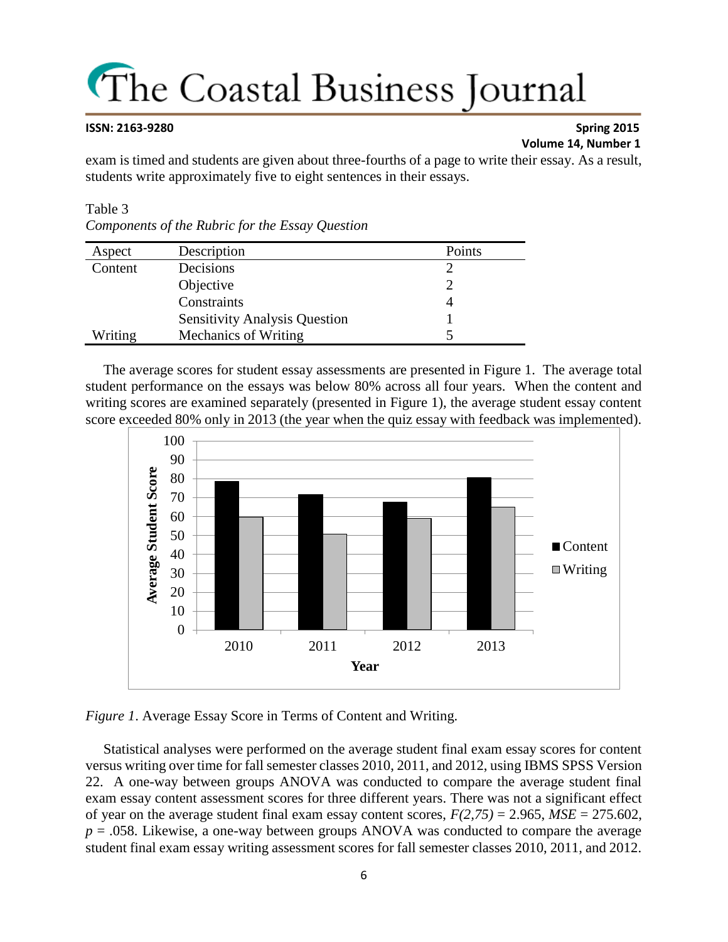### **ISSN: 2163-9280 Spring 2015 Volume 14, Number 1**

exam is timed and students are given about three-fourths of a page to write their essay. As a result, students write approximately five to eight sentences in their essays.

### Table 3

| Components of the Rubric for the Essay Question |  |  |  |
|-------------------------------------------------|--|--|--|

| Aspect  | Description                          | Points |
|---------|--------------------------------------|--------|
| Content | Decisions                            |        |
|         | Objective                            |        |
|         | Constraints                          |        |
|         | <b>Sensitivity Analysis Question</b> |        |
| Writing | Mechanics of Writing                 |        |

 The average scores for student essay assessments are presented in Figure 1. The average total student performance on the essays was below 80% across all four years. When the content and writing scores are examined separately (presented in Figure 1), the average student essay content score exceeded 80% only in 2013 (the year when the quiz essay with feedback was implemented).



*Figure 1*. Average Essay Score in Terms of Content and Writing.

 Statistical analyses were performed on the average student final exam essay scores for content versus writing over time for fall semester classes 2010, 2011, and 2012, using IBMS SPSS Version 22. A one-way between groups ANOVA was conducted to compare the average student final exam essay content assessment scores for three different years. There was not a significant effect of year on the average student final exam essay content scores,  $F(2,75) = 2.965$ ,  $MSE = 275.602$ , *p* = .058. Likewise, a one-way between groups ANOVA was conducted to compare the average student final exam essay writing assessment scores for fall semester classes 2010, 2011, and 2012.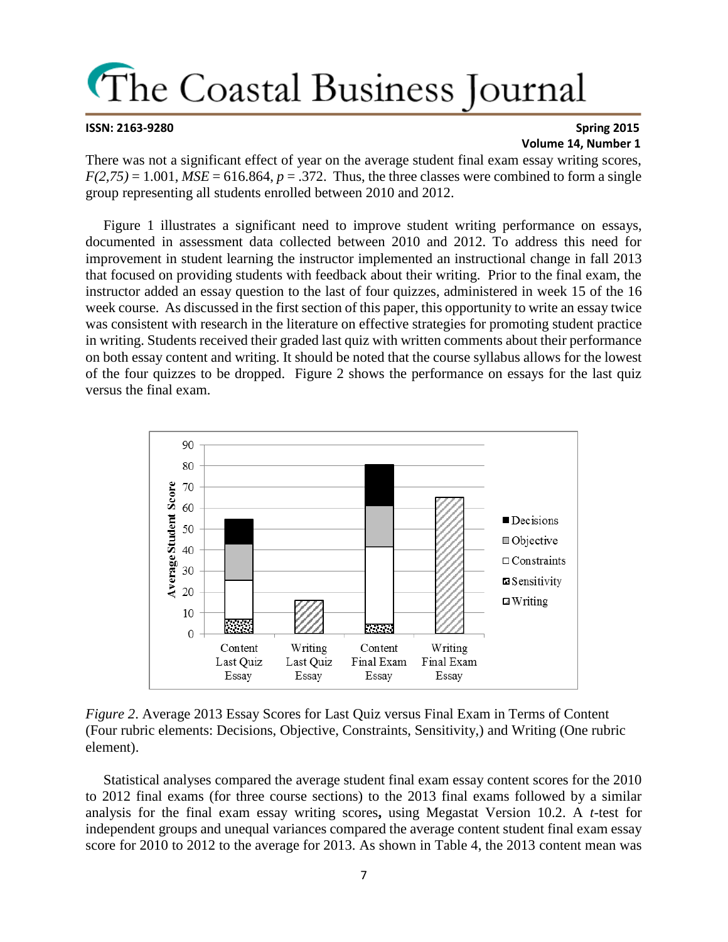#### **ISSN: 2163-9280 Spring 2015 Volume 14, Number 1**

There was not a significant effect of year on the average student final exam essay writing scores,  $F(2,75) = 1.001$ ,  $MSE = 616.864$ ,  $p = .372$ . Thus, the three classes were combined to form a single group representing all students enrolled between 2010 and 2012.

 Figure 1 illustrates a significant need to improve student writing performance on essays, documented in assessment data collected between 2010 and 2012. To address this need for improvement in student learning the instructor implemented an instructional change in fall 2013 that focused on providing students with feedback about their writing. Prior to the final exam, the instructor added an essay question to the last of four quizzes, administered in week 15 of the 16 week course. As discussed in the first section of this paper, this opportunity to write an essay twice was consistent with research in the literature on effective strategies for promoting student practice in writing. Students received their graded last quiz with written comments about their performance on both essay content and writing. It should be noted that the course syllabus allows for the lowest of the four quizzes to be dropped. Figure 2 shows the performance on essays for the last quiz versus the final exam.



*Figure 2*. Average 2013 Essay Scores for Last Quiz versus Final Exam in Terms of Content (Four rubric elements: Decisions, Objective, Constraints, Sensitivity,) and Writing (One rubric element).

 Statistical analyses compared the average student final exam essay content scores for the 2010 to 2012 final exams (for three course sections) to the 2013 final exams followed by a similar analysis for the final exam essay writing scores**,** using Megastat Version 10.2. A *t*-test for independent groups and unequal variances compared the average content student final exam essay score for 2010 to 2012 to the average for 2013. As shown in Table 4, the 2013 content mean was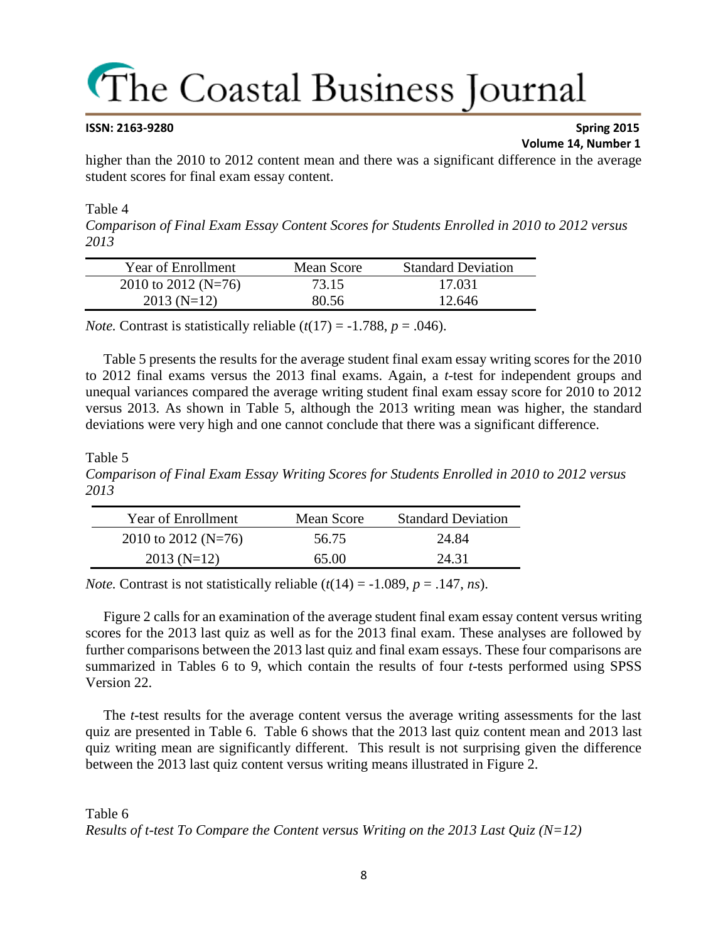#### **ISSN: 2163-9280 Spring 2015 Volume 14, Number 1**

higher than the 2010 to 2012 content mean and there was a significant difference in the average student scores for final exam essay content.

### Table 4

*Comparison of Final Exam Essay Content Scores for Students Enrolled in 2010 to 2012 versus 2013*

| Year of Enrollment  | Mean Score | <b>Standard Deviation</b> |
|---------------------|------------|---------------------------|
| 2010 to 2012 (N=76) | 73.15      | 17.031                    |
| $2013(N=12)$        | 80.56      | 12.646                    |

*Note.* Contrast is statistically reliable  $(t(17) = -1.788, p = .046)$ .

 Table 5 presents the results for the average student final exam essay writing scores for the 2010 to 2012 final exams versus the 2013 final exams. Again, a *t*-test for independent groups and unequal variances compared the average writing student final exam essay score for 2010 to 2012 versus 2013. As shown in Table 5, although the 2013 writing mean was higher, the standard deviations were very high and one cannot conclude that there was a significant difference.

### Table 5

*Comparison of Final Exam Essay Writing Scores for Students Enrolled in 2010 to 2012 versus 2013*

| <b>Year of Enrollment</b> | Mean Score | <b>Standard Deviation</b> |
|---------------------------|------------|---------------------------|
| 2010 to 2012 (N=76)       | 56.75      | 24.84                     |
| $2013(N=12)$              | 65.OO      | 24.31                     |

*Note.* Contrast is not statistically reliable  $(t(14) = -1.089, p = .147, ns)$ .

 Figure 2 calls for an examination of the average student final exam essay content versus writing scores for the 2013 last quiz as well as for the 2013 final exam. These analyses are followed by further comparisons between the 2013 last quiz and final exam essays. These four comparisons are summarized in Tables 6 to 9, which contain the results of four *t*-tests performed using SPSS Version 22.

 The *t*-test results for the average content versus the average writing assessments for the last quiz are presented in Table 6. Table 6 shows that the 2013 last quiz content mean and 2013 last quiz writing mean are significantly different. This result is not surprising given the difference between the 2013 last quiz content versus writing means illustrated in Figure 2.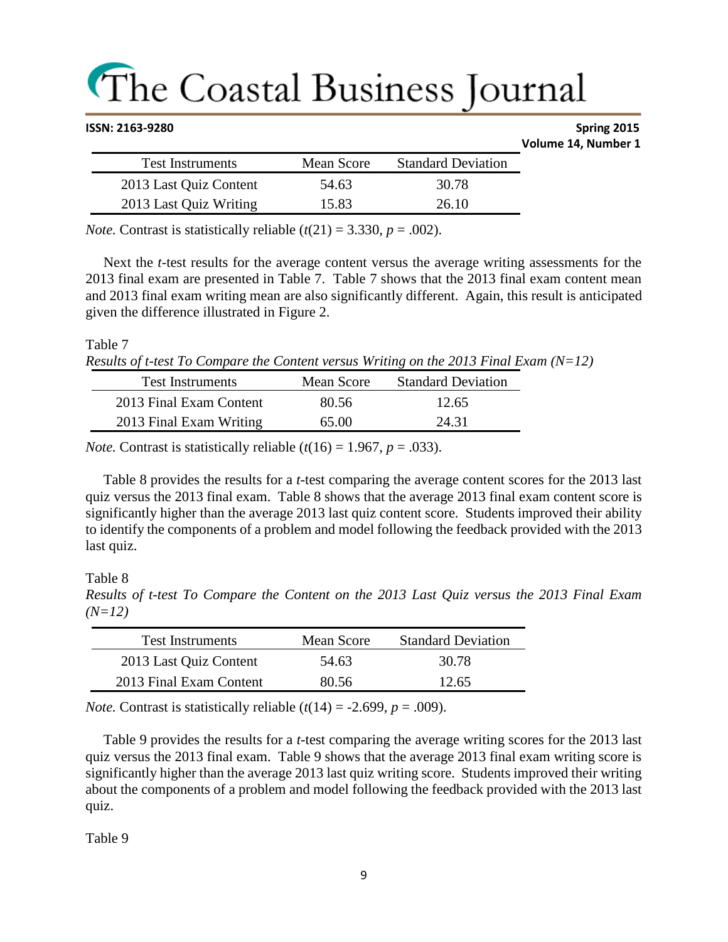| ISSN: 2163-9280 |                         |            | Spring 2015               |                     |
|-----------------|-------------------------|------------|---------------------------|---------------------|
|                 |                         |            |                           | Volume 14, Number 1 |
|                 | <b>Test Instruments</b> | Mean Score | <b>Standard Deviation</b> |                     |
|                 | 2013 Last Quiz Content  | 54.63      | 30.78                     |                     |
|                 | 2013 Last Quiz Writing  | 15.83      | 26.10                     |                     |

*Note.* Contrast is statistically reliable  $(t(21) = 3.330, p = .002)$ .

 Next the *t*-test results for the average content versus the average writing assessments for the 2013 final exam are presented in Table 7. Table 7 shows that the 2013 final exam content mean and 2013 final exam writing mean are also significantly different. Again, this result is anticipated given the difference illustrated in Figure 2.

Table 7

```
Results of t-test To Compare the Content versus Writing on the 2013 Final Exam (N=12)
```

| <b>Test Instruments</b> | Mean Score | <b>Standard Deviation</b> |
|-------------------------|------------|---------------------------|
| 2013 Final Exam Content | 80.56      | 12.65                     |
| 2013 Final Exam Writing | 65.00      | 24.31                     |

*Note.* Contrast is statistically reliable  $(t(16) = 1.967, p = .033)$ .

 Table 8 provides the results for a *t*-test comparing the average content scores for the 2013 last quiz versus the 2013 final exam. Table 8 shows that the average 2013 final exam content score is significantly higher than the average 2013 last quiz content score. Students improved their ability to identify the components of a problem and model following the feedback provided with the 2013 last quiz.

Table 8

*Results of t-test To Compare the Content on the 2013 Last Quiz versus the 2013 Final Exam (N=12)*

| <b>Test Instruments</b> | Mean Score | <b>Standard Deviation</b> |
|-------------------------|------------|---------------------------|
| 2013 Last Quiz Content  | 54.63      | 30.78                     |
| 2013 Final Exam Content | 80.56      | 12.65                     |

*Note.* Contrast is statistically reliable  $(t(14) = -2.699, p = .009)$ .

 Table 9 provides the results for a *t*-test comparing the average writing scores for the 2013 last quiz versus the 2013 final exam. Table 9 shows that the average 2013 final exam writing score is significantly higher than the average 2013 last quiz writing score. Students improved their writing about the components of a problem and model following the feedback provided with the 2013 last quiz.

Table 9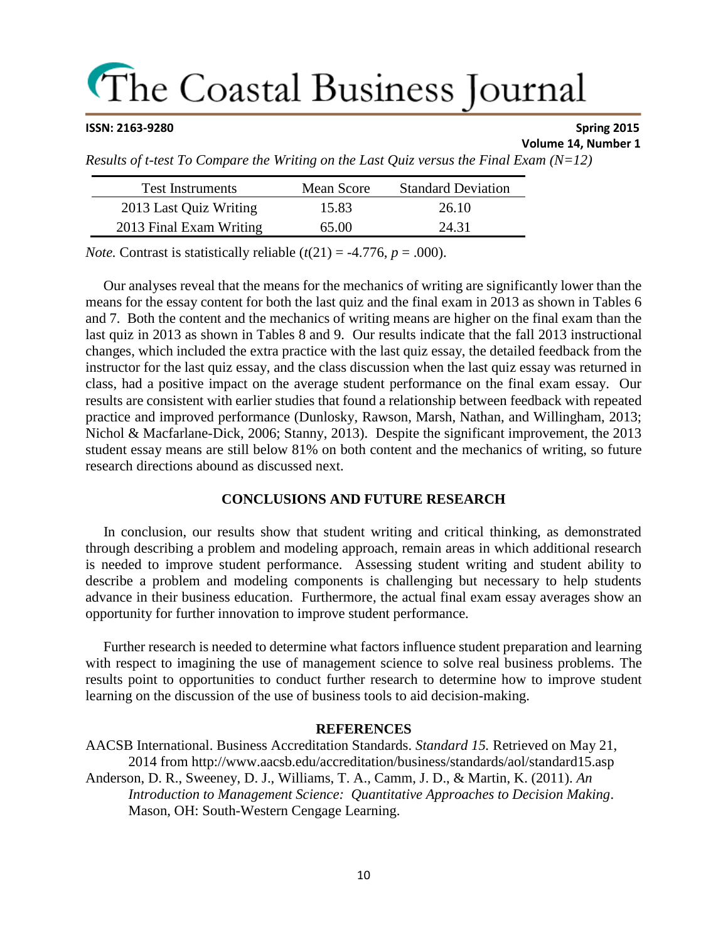### **ISSN: 2163-9280 Spring 2015**

### **Volume 14, Number 1**

*Results of t-test To Compare the Writing on the Last Quiz versus the Final Exam (N=12)*

| <b>Test Instruments</b> | Mean Score | <b>Standard Deviation</b> |
|-------------------------|------------|---------------------------|
| 2013 Last Quiz Writing  | 15.83      | 26.10                     |
| 2013 Final Exam Writing | 65.00      | 24.31                     |

*Note.* Contrast is statistically reliable  $(t(21) = -4.776, p = .000)$ .

 Our analyses reveal that the means for the mechanics of writing are significantly lower than the means for the essay content for both the last quiz and the final exam in 2013 as shown in Tables 6 and 7. Both the content and the mechanics of writing means are higher on the final exam than the last quiz in 2013 as shown in Tables 8 and 9. Our results indicate that the fall 2013 instructional changes, which included the extra practice with the last quiz essay, the detailed feedback from the instructor for the last quiz essay, and the class discussion when the last quiz essay was returned in class, had a positive impact on the average student performance on the final exam essay. Our results are consistent with earlier studies that found a relationship between feedback with repeated practice and improved performance (Dunlosky, Rawson, Marsh, Nathan, and Willingham, 2013; Nichol & Macfarlane-Dick, 2006; Stanny, 2013). Despite the significant improvement, the 2013 student essay means are still below 81% on both content and the mechanics of writing, so future research directions abound as discussed next.

### **CONCLUSIONS AND FUTURE RESEARCH**

 In conclusion, our results show that student writing and critical thinking, as demonstrated through describing a problem and modeling approach, remain areas in which additional research is needed to improve student performance. Assessing student writing and student ability to describe a problem and modeling components is challenging but necessary to help students advance in their business education. Furthermore, the actual final exam essay averages show an opportunity for further innovation to improve student performance.

 Further research is needed to determine what factors influence student preparation and learning with respect to imagining the use of management science to solve real business problems. The results point to opportunities to conduct further research to determine how to improve student learning on the discussion of the use of business tools to aid decision-making.

### **REFERENCES**

AACSB International. Business Accreditation Standards. *Standard 15.* Retrieved on May 21, 2014 from http://www.aacsb.edu/accreditation/business/standards/aol/standard15.asp Anderson, D. R., Sweeney, D. J., Williams, T. A., Camm, J. D., & Martin, K. (2011). *An Introduction to Management Science: Quantitative Approaches to Decision Making*. Mason, OH: South-Western Cengage Learning.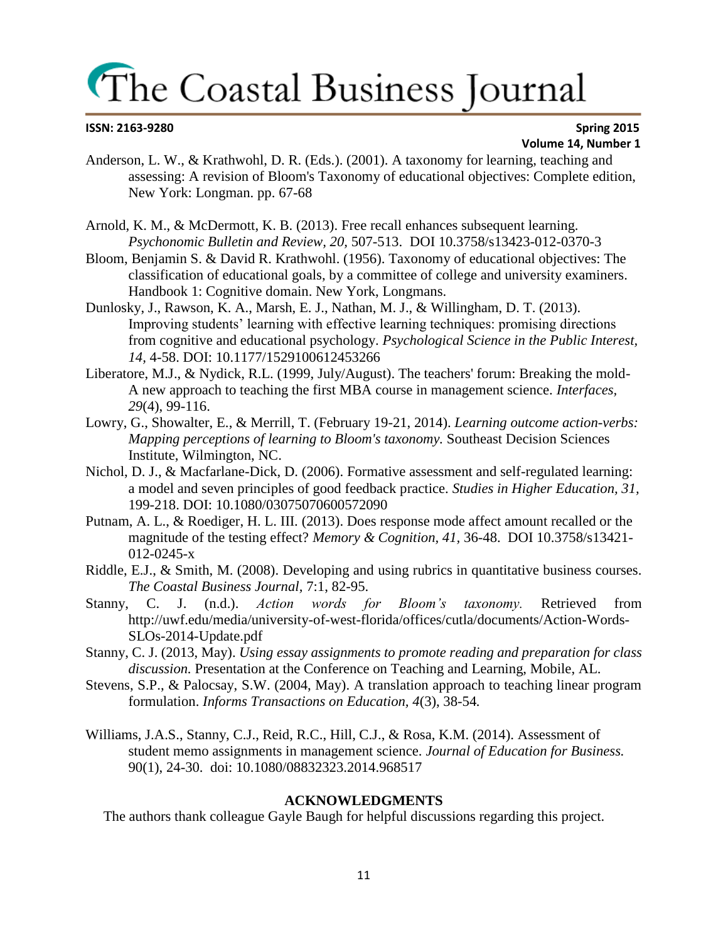#### **ISSN: 2163-9280 Spring 2015 Volume 14, Number 1**

- Anderson, L. W., & Krathwohl, D. R. (Eds.). (2001). A taxonomy for learning, teaching and assessing: A revision of Bloom's Taxonomy of educational objectives: Complete edition, New York: Longman. pp. 67-68
- Arnold, K. M., & McDermott, K. B. (2013). Free recall enhances subsequent learning. *Psychonomic Bulletin and Review, 20,* 507-513. DOI 10.3758/s13423-012-0370-3
- Bloom, Benjamin S. & David R. Krathwohl. (1956). Taxonomy of educational objectives: The classification of educational goals, by a committee of college and university examiners. Handbook 1: Cognitive domain. New York, Longmans.
- Dunlosky, J., Rawson, K. A., Marsh, E. J., Nathan, M. J., & Willingham, D. T. (2013). Improving students' learning with effective learning techniques: promising directions from cognitive and educational psychology. *Psychological Science in the Public Interest, 14,* 4-58. DOI: 10.1177/1529100612453266
- Liberatore, M.J., & Nydick, R.L. (1999, July/August). The teachers' forum: Breaking the mold-A new approach to teaching the first MBA course in management science. *Interfaces, 29*(4), 99-116.
- Lowry, G., Showalter, E., & Merrill, T. (February 19-21, 2014). *Learning outcome action-verbs: Mapping perceptions of learning to Bloom's taxonomy.* Southeast Decision Sciences Institute, Wilmington, NC.
- Nichol, D. J., & Macfarlane-Dick, D. (2006). Formative assessment and self-regulated learning: a model and seven principles of good feedback practice. *Studies in Higher Education, 31,*  199-218. DOI: 10.1080/03075070600572090
- Putnam, A. L., & Roediger, H. L. III. (2013). Does response mode affect amount recalled or the magnitude of the testing effect? *Memory & Cognition, 41,* 36-48. DOI 10.3758/s13421- 012-0245-x
- Riddle, E.J., & Smith, M. (2008). Developing and using rubrics in quantitative business courses. *The Coastal Business Journal,* 7:1, 82-95.
- Stanny, C. J. (n.d.). *Action words for Bloom's taxonomy.* Retrieved from http://uwf.edu/media/university-of-west-florida/offices/cutla/documents/Action-Words-SLOs-2014-Update.pdf
- Stanny, C. J. (2013, May). *Using essay assignments to promote reading and preparation for class discussion.* Presentation at the Conference on Teaching and Learning, Mobile, AL.
- Stevens, S.P., & Palocsay, S.W. (2004, May). A translation approach to teaching linear program formulation. *Informs Transactions on Education, 4*(3), 38-54*.*
- Williams, J.A.S., Stanny, C.J., Reid, R.C., Hill, C.J., & Rosa, K.M. (2014). Assessment of student memo assignments in management science. *Journal of Education for Business.* 90(1), 24-30. doi: 10.1080/08832323.2014.968517

### **ACKNOWLEDGMENTS**

The authors thank colleague Gayle Baugh for helpful discussions regarding this project.